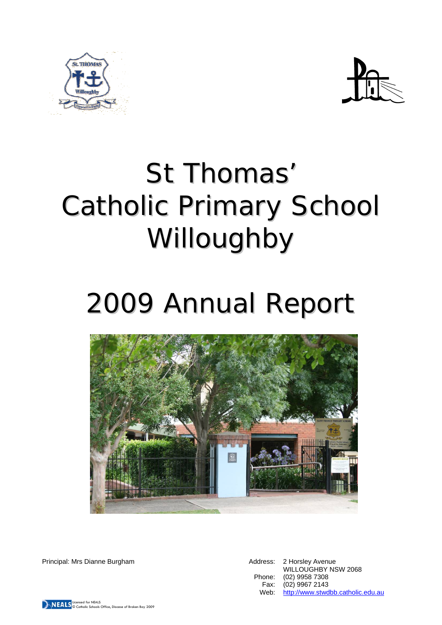



# St Thomas' Catholic Primary School Willoughby

## 2009 Annual Report



Principal: Mrs Dianne Burgham **Address: 2 Horsley Avenue** Address: 2 Horsley Avenue

WILLOUGHBY NSW 2068 Phone: (02) 9958 7308 Fax: (02) 9967 2143 Web: http://www.stwdbb.catholic.edu.au

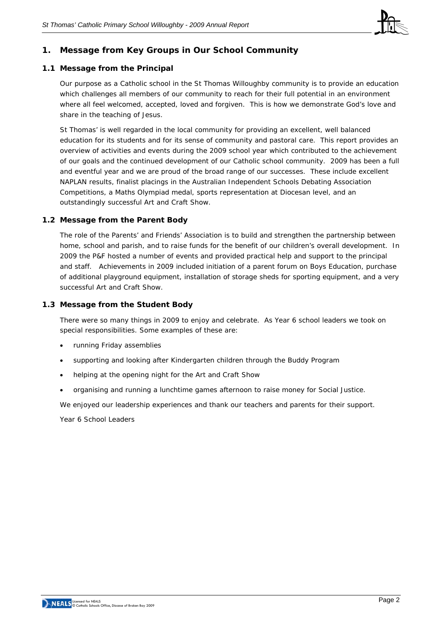

## **1. Message from Key Groups in Our School Community**

#### **1.1 Message from the Principal**

Our purpose as a Catholic school in the St Thomas Willoughby community is to provide an education which challenges all members of our community to reach for their full potential in an environment where all feel welcomed, accepted, loved and forgiven. This is how we demonstrate God's love and share in the teaching of Jesus.

St Thomas' is well regarded in the local community for providing an excellent, well balanced education for its students and for its sense of community and pastoral care. This report provides an overview of activities and events during the 2009 school year which contributed to the achievement of our goals and the continued development of our Catholic school community. 2009 has been a full and eventful year and we are proud of the broad range of our successes. These include excellent NAPLAN results, finalist placings in the Australian Independent Schools Debating Association Competitions, a Maths Olympiad medal, sports representation at Diocesan level, and an outstandingly successful Art and Craft Show.

#### **1.2 Message from the Parent Body**

The role of the Parents' and Friends' Association is to build and strengthen the partnership between home, school and parish, and to raise funds for the benefit of our children's overall development. In 2009 the P&F hosted a number of events and provided practical help and support to the principal and staff. Achievements in 2009 included initiation of a parent forum on Boys Education, purchase of additional playground equipment, installation of storage sheds for sporting equipment, and a very successful Art and Craft Show.

#### **1.3 Message from the Student Body**

There were so many things in 2009 to enjoy and celebrate. As Year 6 school leaders we took on special responsibilities. Some examples of these are:

- running Friday assemblies
- supporting and looking after Kindergarten children through the Buddy Program
- helping at the opening night for the Art and Craft Show
- organising and running a lunchtime games afternoon to raise money for Social Justice.

We enjoyed our leadership experiences and thank our teachers and parents for their support.

*Year 6 School Leaders*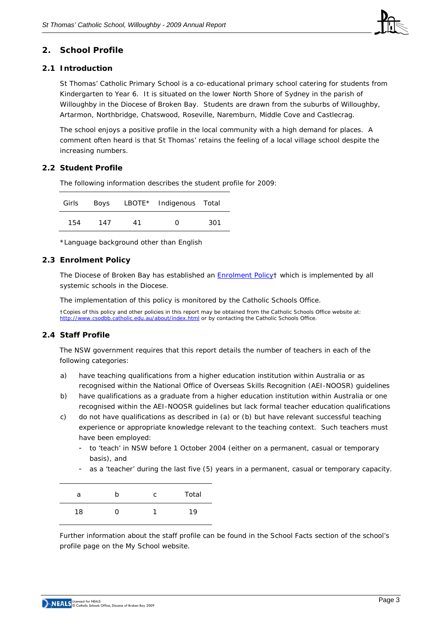

## **2. School Profile**

#### **2.1 Introduction**

St Thomas' Catholic Primary School is a co-educational primary school catering for students from Kindergarten to Year 6. It is situated on the lower North Shore of Sydney in the parish of Willoughby in the Diocese of Broken Bay. Students are drawn from the suburbs of Willoughby, Artarmon, Northbridge, Chatswood, Roseville, Naremburn, Middle Cove and Castlecrag.

The school enjoys a positive profile in the local community with a high demand for places. A comment often heard is that St Thomas' retains the feeling of a local village school despite the increasing numbers.

#### **2.2 Student Profile**

The following information describes the student profile for 2009:

| Girls |     |    | Boys LBOTE* Indigenous Total |     |
|-------|-----|----|------------------------------|-----|
| 154   | 147 | 41 | O                            | 301 |

\*Language background other than English

#### **2.3 Enrolment Policy**

The Diocese of Broken Bay has established an **[Enrolment Policy](http://www.cso.brokenbay.catholic.edu.au/resources/pdfs/Policy-Enrolment_Apr2006.pdf)**† which is implemented by all systemic schools in the Diocese.

The implementation of this policy is monitored by the Catholic Schools Office.

†Copies of this policy and other policies in this report may be obtained from the Catholic Schools Office website at: <http://www.csodbb.catholic.edu.au/about/index.html>or by contacting the Catholic Schools Office.

#### **2.4 Staff Profile**

The NSW government requires that this report details the number of teachers in each of the following categories:

- a) have teaching qualifications from a higher education institution within Australia or as recognised within the National Office of Overseas Skills Recognition (AEI-NOOSR) guidelines
- b) have qualifications as a graduate from a higher education institution within Australia or one recognised within the AEI-NOOSR guidelines but lack formal teacher education qualifications
- c) do not have qualifications as described in (a) or (b) but have relevant successful teaching experience or appropriate knowledge relevant to the teaching context. Such teachers must have been employed:
	- to 'teach' in NSW before 1 October 2004 (either on a permanent, casual or temporary basis), and
	- as a 'teacher' during the last five (5) years in a permanent, casual or temporary capacity.

| а  | C | Total |
|----|---|-------|
| 18 |   | 19    |

Further information about the staff profile can be found in the School Facts section of the school's profile page on the *My School* website.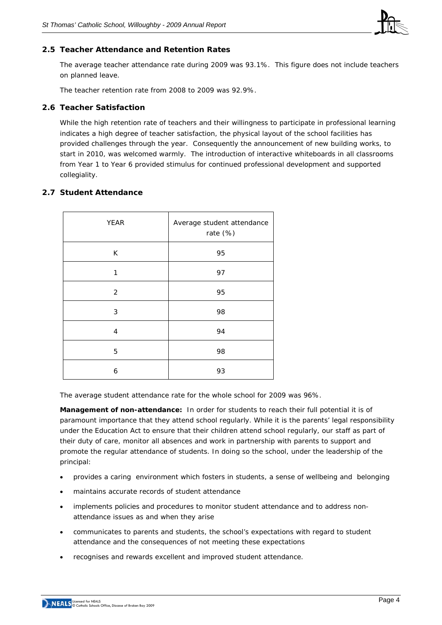

#### **2.5 Teacher Attendance and Retention Rates**

The average teacher attendance rate during 2009 was 93.1%. This figure does not include teachers on planned leave.

The teacher retention rate from 2008 to 2009 was 92.9%.

#### **2.6 Teacher Satisfaction**

While the high retention rate of teachers and their willingness to participate in professional learning indicates a high degree of teacher satisfaction, the physical layout of the school facilities has provided challenges through the year. Consequently the announcement of new building works, to start in 2010, was welcomed warmly. The introduction of interactive whiteboards in all classrooms from Year 1 to Year 6 provided stimulus for continued professional development and supported collegiality.

#### **2.7 Student Attendance**

| <b>YEAR</b>    | Average student attendance<br>rate (%) |  |  |  |
|----------------|----------------------------------------|--|--|--|
| K              | 95                                     |  |  |  |
| 1              | 97                                     |  |  |  |
| $\overline{2}$ | 95                                     |  |  |  |
| 3              | 98                                     |  |  |  |
| 4              | 94                                     |  |  |  |
| 5              | 98                                     |  |  |  |
| 6              | 93                                     |  |  |  |

The average student attendance rate for the whole school for 2009 was 96%.

**Management of non-attendance:** In order for students to reach their full potential it is of paramount importance that they attend school regularly. While it is the parents' legal responsibility under the Education Act to ensure that their children attend school regularly, our staff as part of their duty of care, monitor all absences and work in partnership with parents to support and promote the regular attendance of students. In doing so the school, under the leadership of the principal:

- provides a caring environment which fosters in students, a sense of wellbeing and belonging
- maintains accurate records of student attendance
- implements policies and procedures to monitor student attendance and to address nonattendance issues as and when they arise
- communicates to parents and students, the school's expectations with regard to student attendance and the consequences of not meeting these expectations
- recognises and rewards excellent and improved student attendance.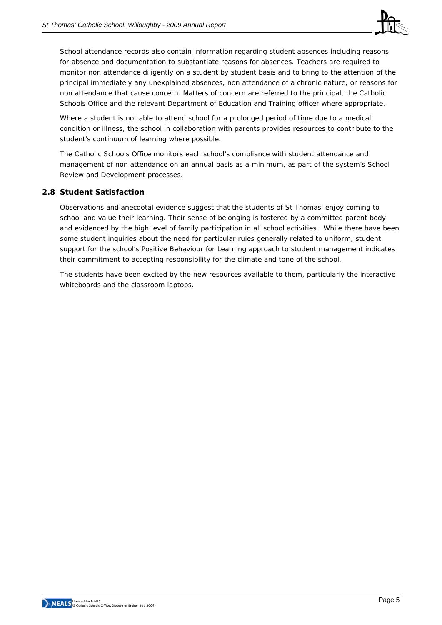

School attendance records also contain information regarding student absences including reasons for absence and documentation to substantiate reasons for absences. Teachers are required to monitor non attendance diligently on a student by student basis and to bring to the attention of the principal immediately any unexplained absences, non attendance of a chronic nature, or reasons for non attendance that cause concern. Matters of concern are referred to the principal, the Catholic Schools Office and the relevant Department of Education and Training officer where appropriate.

Where a student is not able to attend school for a prolonged period of time due to a medical condition or illness, the school in collaboration with parents provides resources to contribute to the student's continuum of learning where possible.

The Catholic Schools Office monitors each school's compliance with student attendance and management of non attendance on an annual basis as a minimum, as part of the system's School Review and Development processes.

#### **2.8 Student Satisfaction**

Observations and anecdotal evidence suggest that the students of St Thomas' enjoy coming to school and value their learning. Their sense of belonging is fostered by a committed parent body and evidenced by the high level of family participation in all school activities. While there have been some student inquiries about the need for particular rules generally related to uniform, student support for the school's Positive Behaviour for Learning approach to student management indicates their commitment to accepting responsibility for the climate and tone of the school.

The students have been excited by the new resources available to them, particularly the interactive whiteboards and the classroom laptops.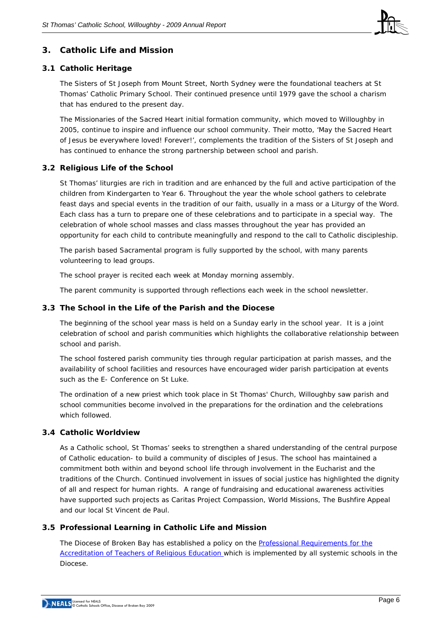

## **3. Catholic Life and Mission**

#### **3.1 Catholic Heritage**

The Sisters of St Joseph from Mount Street, North Sydney were the foundational teachers at St Thomas' Catholic Primary School. Their continued presence until 1979 gave the school a charism that has endured to the present day.

The Missionaries of the Sacred Heart initial formation community, which moved to Willoughby in 2005, continue to inspire and influence our school community. Their motto, 'May the Sacred Heart of Jesus be everywhere loved! Forever!', complements the tradition of the Sisters of St Joseph and has continued to enhance the strong partnership between school and parish.

#### **3.2 Religious Life of the School**

St Thomas' liturgies are rich in tradition and are enhanced by the full and active participation of the children from Kindergarten to Year 6. Throughout the year the whole school gathers to celebrate feast days and special events in the tradition of our faith, usually in a mass or a Liturgy of the Word. Each class has a turn to prepare one of these celebrations and to participate in a special way. The celebration of whole school masses and class masses throughout the year has provided an opportunity for each child to contribute meaningfully and respond to the call to Catholic discipleship.

The parish based Sacramental program is fully supported by the school, with many parents volunteering to lead groups.

The school prayer is recited each week at Monday morning assembly.

The parent community is supported through reflections each week in the school newsletter.

#### **3.3 The School in the Life of the Parish and the Diocese**

The beginning of the school year mass is held on a Sunday early in the school year. It is a joint celebration of school and parish communities which highlights the collaborative relationship between school and parish.

The school fostered parish community ties through regular participation at parish masses, and the availability of school facilities and resources have encouraged wider parish participation at events such as the E- Conference on St Luke.

The ordination of a new priest which took place in St Thomas' Church, Willoughby saw parish and school communities become involved in the preparations for the ordination and the celebrations which followed.

#### **3.4 Catholic Worldview**

As a Catholic school, St Thomas' seeks to strengthen a shared understanding of the central purpose of Catholic education- to build a community of disciples of Jesus. The school has maintained a commitment both within and beyond school life through involvement in the Eucharist and the traditions of the Church. Continued involvement in issues of social justice has highlighted the dignity of all and respect for human rights. A range of fundraising and educational awareness activities have supported such projects as Caritas Project Compassion, World Missions, The Bushfire Appeal and our local St Vincent de Paul.

#### **3.5 Professional Learning in Catholic Life and Mission**

The Diocese of Broken Bay has established a policy on the Professional Requirements for the [Accreditation of Teachers of Religious Education](http://www.cso.brokenbay.catholic.edu.au/resources/pdfs/Policy-Rqs_Accrd_Tchrs_RE.pdf) which is implemented by all systemic schools in the Diocese.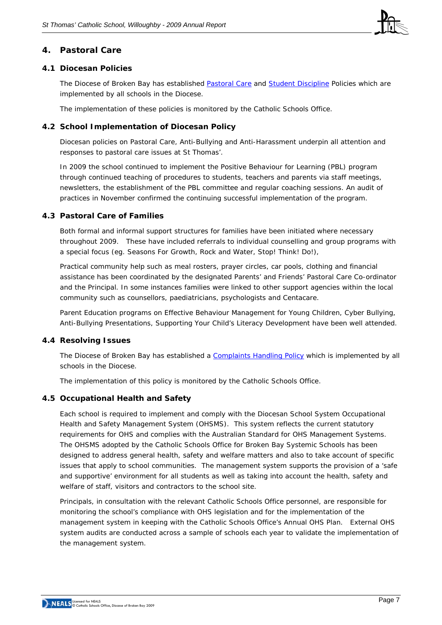

## **4. Pastoral Care**

#### **4.1 Diocesan Policies**

The Diocese of Broken Bay has established [Pastoral Care](http://www.cso.brokenbay.catholic.edu.au/resources/pdfs/Policy-Pastoral_Care_Oct05.pdf) and [Student Discipline](http://www.cso.brokenbay.catholic.edu.au/resources/pdfs/Policy_-_Student_Discipline_Policy_Oct05.pdf) Policies which are implemented by all schools in the Diocese.

The implementation of these policies is monitored by the Catholic Schools Office.

#### **4.2 School Implementation of Diocesan Policy**

Diocesan policies on Pastoral Care, Anti-Bullying and Anti-Harassment underpin all attention and responses to pastoral care issues at St Thomas'.

In 2009 the school continued to implement the Positive Behaviour for Learning (PBL) program through continued teaching of procedures to students, teachers and parents via staff meetings, newsletters, the establishment of the PBL committee and regular coaching sessions. An audit of practices in November confirmed the continuing successful implementation of the program.

#### **4.3 Pastoral Care of Families**

Both formal and informal support structures for families have been initiated where necessary throughout 2009. These have included referrals to individual counselling and group programs with a special focus (eg. Seasons For Growth, Rock and Water, Stop! Think! Do!),

Practical community help such as meal rosters, prayer circles, car pools, clothing and financial assistance has been coordinated by the designated Parents' and Friends' Pastoral Care Co-ordinator and the Principal. In some instances families were linked to other support agencies within the local community such as counsellors, paediatricians, psychologists and Centacare.

Parent Education programs on Effective Behaviour Management for Young Children, Cyber Bullying, Anti-Bullying Presentations, Supporting Your Child's Literacy Development have been well attended.

#### **4.4 Resolving Issues**

The Diocese of Broken Bay has established a [Complaints Handling Policy](http://www.cso.brokenbay.catholic.edu.au/resources/pdfs/Policy-Complaints_Handling.pdf) which is implemented by all schools in the Diocese.

The implementation of this policy is monitored by the Catholic Schools Office.

#### **4.5 Occupational Health and Safety**

Each school is required to implement and comply with the Diocesan School System Occupational Health and Safety Management System (OHSMS). This system reflects the current statutory requirements for OHS and complies with the Australian Standard for OHS Management Systems. The OHSMS adopted by the Catholic Schools Office for Broken Bay Systemic Schools has been designed to address general health, safety and welfare matters and also to take account of specific issues that apply to school communities. The management system supports the provision of a 'safe and supportive' environment for all students as well as taking into account the health, safety and welfare of staff, visitors and contractors to the school site.

Principals, in consultation with the relevant Catholic Schools Office personnel, are responsible for monitoring the school's compliance with OHS legislation and for the implementation of the management system in keeping with the Catholic Schools Office's Annual OHS Plan. External OHS system audits are conducted across a sample of schools each year to validate the implementation of the management system.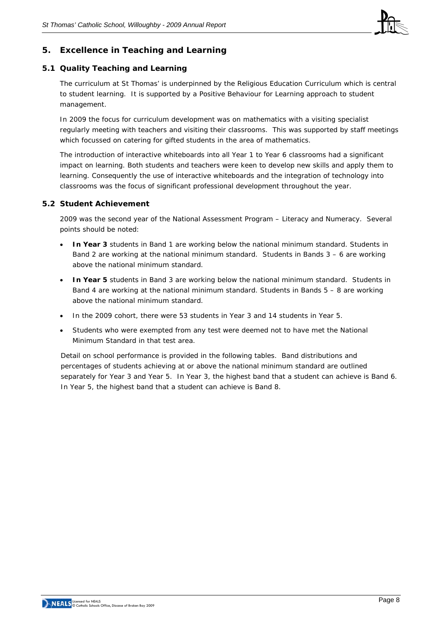

## **5. Excellence in Teaching and Learning**

#### **5.1 Quality Teaching and Learning**

The curriculum at St Thomas' is underpinned by the Religious Education Curriculum which is central to student learning. It is supported by a Positive Behaviour for Learning approach to student management.

In 2009 the focus for curriculum development was on mathematics with a visiting specialist regularly meeting with teachers and visiting their classrooms. This was supported by staff meetings which focussed on catering for gifted students in the area of mathematics.

The introduction of interactive whiteboards into all Year 1 to Year 6 classrooms had a significant impact on learning. Both students and teachers were keen to develop new skills and apply them to learning. Consequently the use of interactive whiteboards and the integration of technology into classrooms was the focus of significant professional development throughout the year.

#### **5.2 Student Achievement**

2009 was the second year of the National Assessment Program – Literacy and Numeracy. Several points should be noted:

- **In Year 3** students in Band 1 are working below the national minimum standard. Students in Band 2 are working at the national minimum standard. Students in Bands 3 – 6 are working above the national minimum standard.
- **In Year 5** students in Band 3 are working below the national minimum standard. Students in Band 4 are working at the national minimum standard. Students in Bands 5 – 8 are working above the national minimum standard.
- In the 2009 cohort, there were 53 students in Year 3 and 14 students in Year 5.
- Students who were exempted from any test were deemed not to have met the National Minimum Standard in that test area.

Detail on school performance is provided in the following tables. Band distributions and percentages of students achieving at or above the national minimum standard are outlined separately for Year 3 and Year 5. In Year 3, the highest band that a student can achieve is Band 6. In Year 5, the highest band that a student can achieve is Band 8.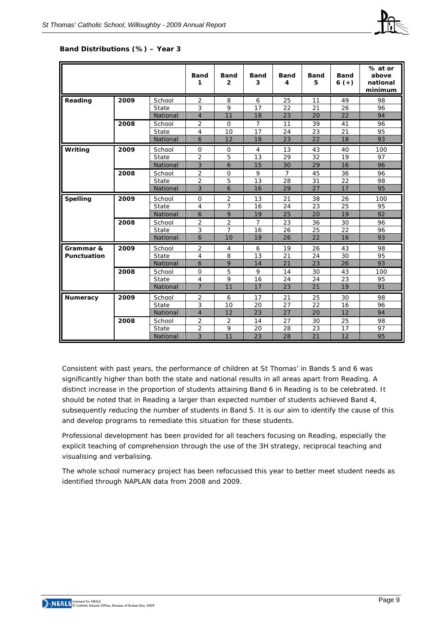

#### **Band Distributions (%) – Year 3**

|                    |      |          | <b>Band</b><br>1 | <b>Band</b><br>$\overline{2}$ | <b>Band</b><br>3 | <b>Band</b><br>4 | <b>Band</b><br>5 | <b>Band</b><br>$6 (+)$ | % at or<br>above<br>national<br>minimum |
|--------------------|------|----------|------------------|-------------------------------|------------------|------------------|------------------|------------------------|-----------------------------------------|
| Reading            | 2009 | School   | $\overline{2}$   | 8                             | 6                | 25               | 11               | 49                     | 98                                      |
|                    |      | State    | 3                | 9                             | 17               | 22               | 21               | 26                     | 96                                      |
|                    |      | National | $\overline{4}$   | 11                            | 18               | 23               | 20               | 22                     | 94                                      |
|                    | 2008 | School   | $\overline{2}$   | $\mathbf 0$                   | $\overline{7}$   | 11               | 39               | 41                     | 96                                      |
|                    |      | State    | 4                | 10                            | 17               | 24               | 23               | 21                     | 95                                      |
|                    |      | National | 6                | 12                            | 18               | 23               | 22               | 18                     | 93                                      |
| Writing            | 2009 | School   | $\mathbf 0$      | 0                             | $\overline{4}$   | 13               | 43               | 40                     | 100                                     |
|                    |      | State    | $\overline{2}$   | 5                             | 13               | 29               | 32               | 19                     | 97                                      |
|                    |      | National | 3                | 6                             | 15               | 30               | 29               | 16                     | 96                                      |
|                    | 2008 | School   | 2                | $\Omega$                      | 9                | $\overline{7}$   | 45               | 36                     | 96                                      |
|                    |      | State    | $\overline{2}$   | 5                             | 13               | 28               | 31               | 22                     | 98                                      |
|                    |      | National | 3                | 6                             | 16               | 29               | 27               | 17                     | 95                                      |
| <b>Spelling</b>    | 2009 | School   | $\mathbf 0$      | 2                             | 13               | 21               | 38               | 26                     | 100                                     |
|                    |      | State    | 4                | $\overline{7}$                | 16               | 24               | 23               | 25                     | 95                                      |
|                    |      | National | 6                | 9                             | 19               | 25               | 20               | 19                     | 92                                      |
|                    | 2008 | School   | 2                | 2                             | $\overline{7}$   | 23               | 36               | 30                     | 96                                      |
|                    |      | State    | 3                | $\overline{7}$                | 16               | 26               | 25               | 22                     | 96                                      |
|                    |      | National | 6                | 10                            | 19               | 26               | 22               | 16                     | 93                                      |
| Grammar &          | 2009 | School   | 2                | 4                             | 6                | 19               | 26               | 43                     | 98                                      |
| <b>Punctuation</b> |      | State    | 4                | 8                             | 13               | 21               | 24               | 30                     | 95                                      |
|                    |      | National | 6                | 9                             | 14               | 21               | 23               | 26                     | 93                                      |
|                    | 2008 | School   | $\mathbf 0$      | 5                             | 9                | 14               | 30               | 43                     | 100                                     |
|                    |      | State    | 4                | 9                             | 16               | 24               | 24               | 23                     | 95                                      |
|                    |      | National | $\overline{7}$   | 11                            | 17               | 23               | 21               | 19                     | 91                                      |
| <b>Numeracy</b>    | 2009 | School   | $\overline{2}$   | 6                             | 17               | 21               | 25               | 30                     | 98                                      |
|                    |      | State    | 3                | 10                            | 20               | 27               | 22               | 16                     | 96                                      |
|                    |      | National | $\overline{4}$   | 12                            | 23               | 27               | 20               | 12                     | 94                                      |
|                    | 2008 | School   | 2                | 2                             | 14               | 27               | 30               | 25                     | 98                                      |
|                    |      | State    | $\overline{2}$   | 9                             | 20               | 28               | 23               | 17                     | 97                                      |
|                    |      | National | 3                | 11                            | 23               | 28               | 21               | 12                     | 95                                      |

Consistent with past years, the performance of children at St Thomas' in Bands 5 and 6 was significantly higher than both the state and national results in all areas apart from Reading. A distinct increase in the proportion of students attaining Band 6 in Reading is to be celebrated. It should be noted that in Reading a larger than expected number of students achieved Band 4, subsequently reducing the number of students in Band 5. It is our aim to identify the cause of this and develop programs to remediate this situation for these students.

Professional development has been provided for all teachers focusing on Reading, especially the explicit teaching of comprehension through the use of the 3H strategy, reciprocal teaching and visualising and verbalising.

The whole school numeracy project has been refocussed this year to better meet student needs as identified through NAPLAN data from 2008 and 2009.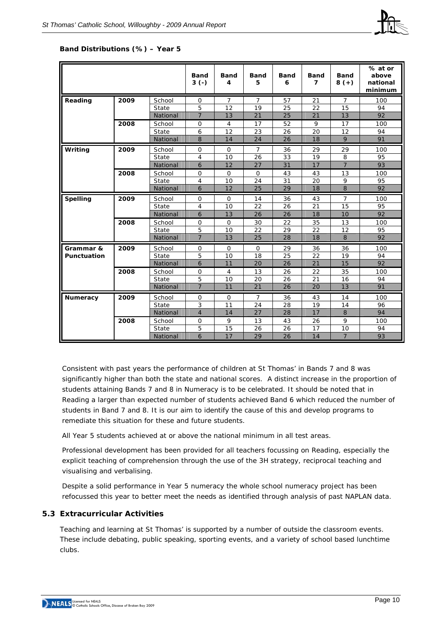

#### **Band Distributions (%) – Year 5**

|                    |      |          | <b>Band</b><br>$3(-)$ | Band<br>4      | <b>Band</b><br>5 | Band<br>6 | <b>Band</b><br>$\overline{7}$ | <b>Band</b><br>$8 (+)$ | % at or<br>above<br>national<br>minimum |
|--------------------|------|----------|-----------------------|----------------|------------------|-----------|-------------------------------|------------------------|-----------------------------------------|
| Reading            | 2009 | School   | $\mathbf 0$           | $\overline{7}$ | $\overline{7}$   | 57        | 21                            | 7                      | 100                                     |
|                    |      | State    | 5                     | 12             | 19               | 25        | 22                            | 15                     | 94                                      |
|                    |      | National | $\overline{7}$        | 13             | 21               | 25        | 21                            | 13                     | 92                                      |
|                    | 2008 | School   | $\mathbf 0$           | $\overline{4}$ | 17               | 52        | 9                             | 17                     | 100                                     |
|                    |      | State    | 6                     | 12             | 23               | 26        | 20                            | 12                     | 94                                      |
|                    |      | National | 8                     | 14             | 24               | 26        | 18                            | 9                      | 91                                      |
| Writing            | 2009 | School   | $\mathbf 0$           | $\mathbf 0$    | $\overline{7}$   | 36        | 29                            | 29                     | 100                                     |
|                    |      | State    | $\overline{4}$        | 10             | 26               | 33        | 19                            | 8                      | 95                                      |
|                    |      | National | 6                     | 12             | 27               | 31        | 17                            | $\overline{7}$         | 93                                      |
|                    | 2008 | School   | $\mathbf 0$           | $\Omega$       | $\mathbf 0$      | 43        | 43                            | 13                     | 100                                     |
|                    |      | State    | $\overline{4}$        | 10             | 24               | 31        | 20                            | 9                      | 95                                      |
|                    |      | National | 6                     | 12             | 25               | 29        | 18                            | 8                      | 92                                      |
| <b>Spelling</b>    | 2009 | School   | $\Omega$              | $\Omega$       | 14               | 36        | 43                            | $\overline{7}$         | 100                                     |
|                    |      | State    | 4                     | 10             | 22               | 26        | 21                            | 15                     | 95                                      |
|                    |      | National | 6                     | 13             | 26               | 26        | 18                            | 10                     | 92                                      |
|                    | 2008 | School   | $\Omega$              | $\Omega$       | 30               | 22        | 35                            | 13                     | 100                                     |
|                    |      | State    | 5                     | 10             | 22               | 29        | 22                            | 12                     | 95                                      |
|                    |      | National | $\overline{7}$        | 13             | 25               | 28        | 18                            | 8                      | 92                                      |
| Grammar &          | 2009 | School   | 0                     | $\mathbf 0$    | $\Omega$         | 29        | 36                            | 36                     | 100                                     |
| <b>Punctuation</b> |      | State    | 5                     | 10             | 18               | 25        | 22                            | 19                     | 94                                      |
|                    |      | National | 6                     | 11             | 20               | 26        | 21                            | 15                     | 92                                      |
|                    | 2008 | School   | 0                     | $\overline{4}$ | 13               | 26        | 22                            | 35                     | 100                                     |
|                    |      | State    | 5                     | 10             | 20               | 26        | 21                            | 16                     | 94                                      |
|                    |      | National | $\overline{7}$        | 11             | 21               | 26        | 20                            | 13                     | 91                                      |
| <b>Numeracy</b>    | 2009 | School   | $\mathbf 0$           | $\mathbf 0$    | $\overline{7}$   | 36        | 43                            | 14                     | 100                                     |
|                    |      | State    | 3                     | 11             | 24               | 28        | 19                            | 14                     | 96                                      |
|                    |      | National | $\overline{4}$        | 14             | 27               | 28        | 17                            | 8                      | 94                                      |
|                    | 2008 | School   | 0                     | 9              | 13               | 43        | 26                            | 9                      | 100                                     |
|                    |      | State    | 5                     | 15             | 26               | 26        | 17                            | 10                     | 94                                      |
|                    |      | National | 6                     | 17             | 29               | 26        | 14                            | $\overline{7}$         | 93                                      |

Consistent with past years the performance of children at St Thomas' in Bands 7 and 8 was significantly higher than both the state and national scores. A distinct increase in the proportion of students attaining Bands 7 and 8 in Numeracy is to be celebrated. It should be noted that in Reading a larger than expected number of students achieved Band 6 which reduced the number of students in Band 7 and 8. It is our aim to identify the cause of this and develop programs to remediate this situation for these and future students.

All Year 5 students achieved at or above the national minimum in all test areas.

Professional development has been provided for all teachers focussing on Reading, especially the explicit teaching of comprehension through the use of the 3H strategy, reciprocal teaching and visualising and verbalising.

Despite a solid performance in Year 5 numeracy the whole school numeracy project has been refocussed this year to better meet the needs as identified through analysis of past NAPLAN data.

#### **5.3 Extracurricular Activities**

Teaching and learning at St Thomas' is supported by a number of outside the classroom events. These include debating, public speaking, sporting events, and a variety of school based lunchtime clubs.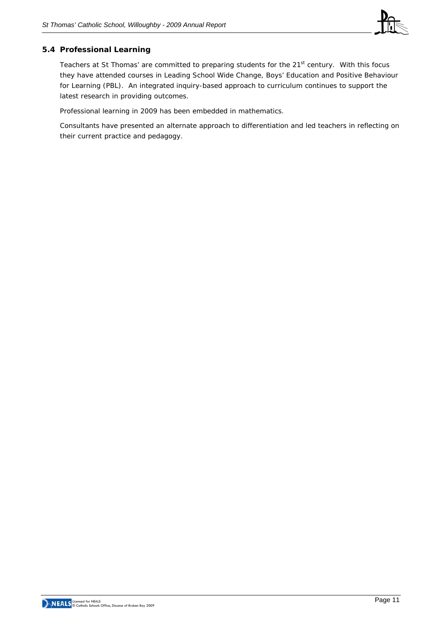

#### **5.4 Professional Learning**

Teachers at St Thomas' are committed to preparing students for the 21<sup>st</sup> century. With this focus they have attended courses in Leading School Wide Change, Boys' Education and Positive Behaviour for Learning (PBL). An integrated inquiry-based approach to curriculum continues to support the latest research in providing outcomes.

Professional learning in 2009 has been embedded in mathematics.

Consultants have presented an alternate approach to differentiation and led teachers in reflecting on their current practice and pedagogy.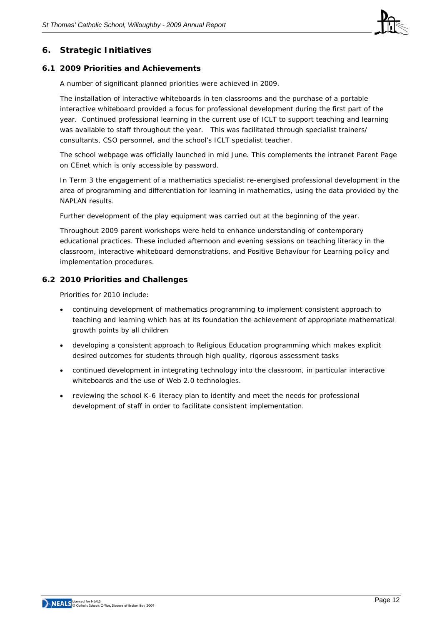

## **6. Strategic Initiatives**

#### **6.1 2009 Priorities and Achievements**

A number of significant planned priorities were achieved in 2009.

The installation of interactive whiteboards in ten classrooms and the purchase of a portable interactive whiteboard provided a focus for professional development during the first part of the year. Continued professional learning in the current use of ICLT to support teaching and learning was available to staff throughout the year. This was facilitated through specialist trainers/ consultants, CSO personnel, and the school's ICLT specialist teacher.

The school webpage was officially launched in mid June. This complements the intranet Parent Page on CEnet which is only accessible by password.

In Term 3 the engagement of a mathematics specialist re-energised professional development in the area of programming and differentiation for learning in mathematics, using the data provided by the NAPLAN results.

Further development of the play equipment was carried out at the beginning of the year.

Throughout 2009 parent workshops were held to enhance understanding of contemporary educational practices. These included afternoon and evening sessions on teaching literacy in the classroom, interactive whiteboard demonstrations, and Positive Behaviour for Learning policy and implementation procedures.

#### **6.2 2010 Priorities and Challenges**

Priorities for 2010 include:

- continuing development of mathematics programming to implement consistent approach to teaching and learning which has at its foundation the achievement of appropriate mathematical growth points by all children
- developing a consistent approach to Religious Education programming which makes explicit desired outcomes for students through high quality, rigorous assessment tasks
- continued development in integrating technology into the classroom, in particular interactive whiteboards and the use of Web 2.0 technologies.
- reviewing the school K-6 literacy plan to identify and meet the needs for professional development of staff in order to facilitate consistent implementation.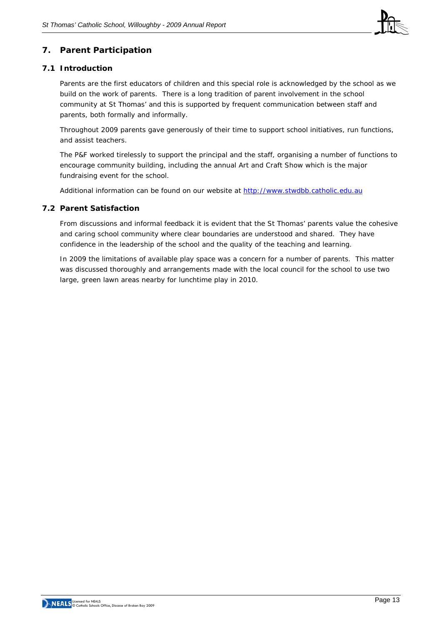

## **7. Parent Participation**

#### **7.1 Introduction**

Parents are the first educators of children and this special role is acknowledged by the school as we build on the work of parents. There is a long tradition of parent involvement in the school community at St Thomas' and this is supported by frequent communication between staff and parents, both formally and informally.

Throughout 2009 parents gave generously of their time to support school initiatives, run functions, and assist teachers.

The P&F worked tirelessly to support the principal and the staff, organising a number of functions to encourage community building, including the annual Art and Craft Show which is the major fundraising event for the school.

Additional information can be found on our website at [http://www.stwdbb.catholic.edu.au](http://www.stwdbb.catholic.edu.au/)

#### **7.2 Parent Satisfaction**

From discussions and informal feedback it is evident that the St Thomas' parents value the cohesive and caring school community where clear boundaries are understood and shared. They have confidence in the leadership of the school and the quality of the teaching and learning.

In 2009 the limitations of available play space was a concern for a number of parents. This matter was discussed thoroughly and arrangements made with the local council for the school to use two large, green lawn areas nearby for lunchtime play in 2010.